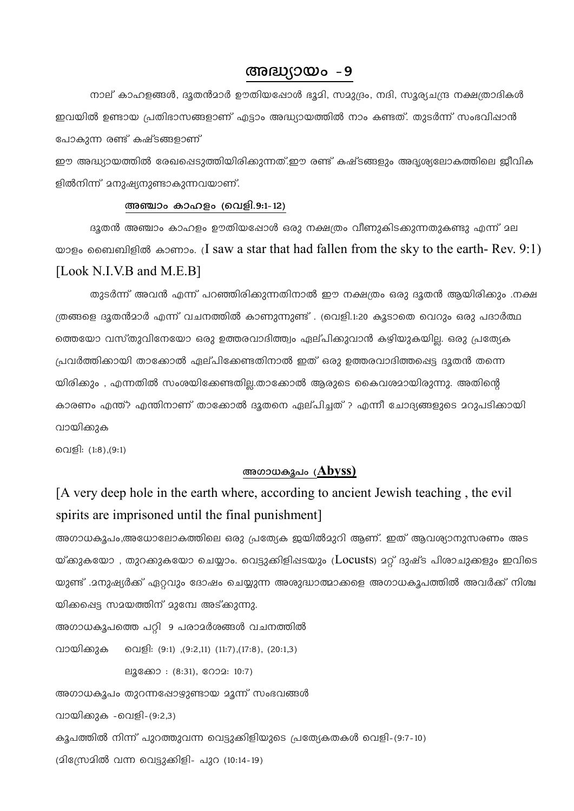## $\mathcal{C} = \{0, 0\}$

നാല് കാഹളങ്ങൾ, ദൂതൻമാർ ഊതിയപ്പോൾ ഭൂമി, സമുദ്രം, നദി, സൂര്യചന്ദ്ര നക്ഷത്രാദികൾ ഇവയിൽ ഉണ്ടായ പ്രതിഭാസങ്ങളാണ് എട്ടാം അദ്ധ്യായത്തിൽ നാം കണ്ടത്. തുടർന്ന് സംഭവിഷാൻ പോകുന്ന രണ്ട് കഷ്ടങ്ങളാണ്

ഈ അദ്ധ്യായത്തിൽ രേഖപ്പെടുത്തിയിരിക്കുന്നത്.ഈ രണ്ട് കഷ്ടങ്ങളും അദ്യശ്യലോകത്തിലെ ജീവിക ളിൽനിന്ന് മനുഷ്യനുണ്ടാകുന്നവയാണ്.

## അഞ്ചാം കാഹളം (വെളി.9:1-12)

ദൂതൻ അഞ്ചാം കാഹളം ഊതിയഷോൾ ഒരു നക്ഷത്രം വീണുകിടക്കുന്നതുകണ്ടു എന്ന് മല യാളം ബൈബിളിൽ കാണാം. (I saw a star that had fallen from the sky to the earth- Rev.  $9:1$ ) [Look N.I.V.B and M.E.B]

തുടർന്ന് അവൻ എന്ന് പറഞ്ഞിരിക്കുന്നതിനാൽ ഈ നക്ഷത്രം ഒരു ദൂതൻ ആയിരിക്കും .നക്ഷ ത്രങ്ങളെ ദൂതൻമാർ എന്ന് വചനത്തിൽ കാണുന്നുണ്ട് . (വെളി.1:20 കൂടാതെ വെറും ഒരു പദാർത്ഥ ത്തെയോ വസ്തുവിനേയോ ഒരു ഉത്തരവാദിത്ത്വം ഏല്പിക്കുവാൻ കഴിയുകയില്ല. ഒരു പ്രത്യേക പ്രവർത്തിക്കായി താക്കോൽ ഏല്പിക്കേണ്ടതിനാൽ ഇത് ഒരു ഉത്തരവാദിത്തപ്പെട്ട ദൂതൻ തന്നെ യിരിക്കും , എന്നതിൽ സംശയിക്കേണ്ടതില്ല.താക്കോൽ ആരുടെ കൈവശമായിരുന്നു. അതിന്റെ കാരണം എന്ത്? എന്തിനാണ് താക്കോൽ ദുതനെ ഏല്പിച്ചത് ? എന്നീ ചോദ്യങ്ങളുടെ മറുപടിക്കായി വായിക്കുക

വെളി: (1:8),(9:1)

## അഗാധകൂപം (Abyss)

[A very deep hole in the earth where, according to ancient Jewish teaching, the evil spirits are imprisoned until the final punishment

അഗാധകൂപം,അധോലോകത്തിലെ ഒരു പ്രത്യേക ഇയിൽമുറി ആണ്. ഇത് ആവശ്യാനുസരണം അട യ്ക്കുകയോ , തുറക്കുകയോ ചെയ്യാം. വെട്ടുക്കിളിഷടയും ( $\it Locus$ ts) മറ്റ് ദുഷ്ട പിശാചുക്കളും ഇവിടെ യുണ്ട് .2നുഷ്യർക്ക് ഏറ്റവും ദോഷം ചെയ്യുന്ന അശുദ്ധാത്മാക്കളെ അഗാധകൂപത്തിൽ അവർക്ക് നിശ്ച യിക്കപ്പെട്ട സമയത്തിന് മുമ്പേ അട്ക്കുന്നു.

അഗാധകൂപത്തെ പറ്റി 9 പരാമർശങ്ങൾ വചനത്തിൽ

വായിക്കുക വെളി: (9:1) ,(9:2,11) (11:7),(17:8), (20:1,3)

ലൂക്കോ : (8:31), റോമ: 10:7)

അഗാധകൂപം തുറന്നപ്പോഴുണ്ടായ മൂന്ന് സംഭവങ്ങൾ

വായിക്കുക -വെളി-(9:2,3)

കൂപത്തിൽ നിന്ന് പുറത്തുവന്ന വെട്ടുക്കിളിയുടെ പ്രത്യേകതകൾ വെളി-(9:7-10)

(മിസ്രേമിൽ വന്ന വെട്ടുക്കിളി- പുറ (10:14-19)